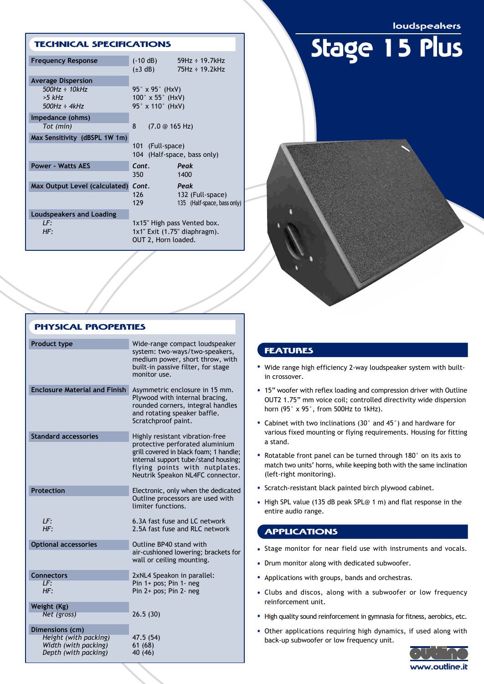loudspeakers

Stage 15 Plus

### TECHNICAL SPECIFICATIONS

| <b>Frequency Response</b>     | $(-10 dB)$                                                                               | $59Hz \div 19.7kHz$         |
|-------------------------------|------------------------------------------------------------------------------------------|-----------------------------|
|                               | $(\pm 3 \text{ dB})$                                                                     | $75Hz \div 19.2kHz$         |
| <b>Average Dispersion</b>     |                                                                                          |                             |
| $500Hz \div 10kHz$            | 95° x 95° (HxV)                                                                          |                             |
| $>5$ kHz                      | $100^\circ \times 55^\circ$ (HxV)                                                        |                             |
| $500Hz \div 4kHz$             | 95° x 110° (HxV)                                                                         |                             |
| Impedance (ohms)              |                                                                                          |                             |
| Tot (min)                     | 8<br>$(7.0 \circ 165 \text{ Hz})$                                                        |                             |
| Max Sensitivity (dBSPL 1W 1m) |                                                                                          |                             |
|                               | 101 (Full-space)                                                                         |                             |
|                               | 104 (Half-space, bass only)                                                              |                             |
| <b>Power - Watts AES</b>      | Cont.                                                                                    | Peak                        |
|                               | 350 l                                                                                    | 1400                        |
| Max Output Level (calculated) | Cont.                                                                                    | Peak                        |
|                               | 126                                                                                      | 132 (Full-space)            |
|                               | 129                                                                                      | 135 (Half-space, bass only) |
| Loudspeakers and Loading      |                                                                                          |                             |
| LF:                           | 1x15" High pass Vented box.<br>$1x1$ " Exit $(1.75$ " diaphragm).<br>OUT 2, Horn loaded. |                             |
| HF:                           |                                                                                          |                             |
|                               |                                                                                          |                             |
|                               |                                                                                          |                             |

| <b>PHYSICAL PROPERTIES</b>                    |                                                                                                                                                                                                                           |  |
|-----------------------------------------------|---------------------------------------------------------------------------------------------------------------------------------------------------------------------------------------------------------------------------|--|
| Product type                                  | Wide-range compact loudspeaker<br>system: two-ways/two-speakers,<br>medium power, short throw, with<br>built-in passive filter, for stage<br>monitor use.                                                                 |  |
| <b>Enclosure Material and Finish</b>          | Asymmetric enclosure in 15 mm.<br>Plywood with internal bracing,<br>rounded corners, integral handles<br>and rotating speaker baffle.<br>Scratchproof paint.                                                              |  |
| <b>Standard accessories</b>                   | Highly resistant vibration-free<br>protective perforated aluminium<br>grill covered in black foam; 1 handle;<br>internal support tube/stand housing;<br>flying points with nutplates.<br>Neutrik Speakon NL4FC connector. |  |
| Protection                                    | Electronic, only when the dedicated<br>Outline processors are used with<br>limiter functions.                                                                                                                             |  |
| LF:<br>HF:                                    | 6.3A fast fuse and LC network<br>2.5A fast fuse and RLC network                                                                                                                                                           |  |
| <b>Optional accessories</b>                   | Outline BP40 stand with<br>air-cushioned lowering; brackets for<br>wall or ceiling mounting.                                                                                                                              |  |
| <b>Connectors</b>                             | 2xNL4 Speakon in parallel:                                                                                                                                                                                                |  |
| LF:<br>HF:                                    | Pin 1+ pos; Pin 1- neg<br>Pin 2+ pos; Pin 2- neg                                                                                                                                                                          |  |
| Weight (Kg)                                   |                                                                                                                                                                                                                           |  |
| Net (gross)                                   | 26.5(30)                                                                                                                                                                                                                  |  |
| Dimensions (cm)                               |                                                                                                                                                                                                                           |  |
| Height (with packing)<br>Width (with packing) | 47.5 (54)<br>61(68)                                                                                                                                                                                                       |  |
| Depth (with packing)                          | 40 (46)                                                                                                                                                                                                                   |  |

## FEATURES

- Wide range high efficiency 2-way loudspeaker system with builtin crossover.
- 15" woofer with reflex loading and compression driver with Outline OUT2 1.75" mm voice coil; controlled directivity wide dispersion horn (95° x 95°, from 500Hz to 1kHz).
- Cabinet with two inclinations (30° and 45°) and hardware for •various fixed mounting or flying requirements. Housing for fitting a stand.
- Rotatable front panel can be turned through 180° on its axis to match two units' horns, while keeping both with the same inclination (left-right monitoring).
- Scratch-resistant black painted birch plywood cabinet.
- High SPL value (135 dB peak SPL@ 1 m) and flat response in the entire audio range.

# APPLICATIONS

- Stage monitor for near field use with instruments and vocals.
- Drum monitor along with dedicated subwoofer.
- Applications with groups, bands and orchestras.
- Clubs and discos, along with a subwoofer or low frequency reinforcement unit.
- High quality sound reinforcement in gymnasia for fitness, aerobics, etc.
- Other applications requiring high dynamics, if used along with back-up subwoofer or low frequency unit.